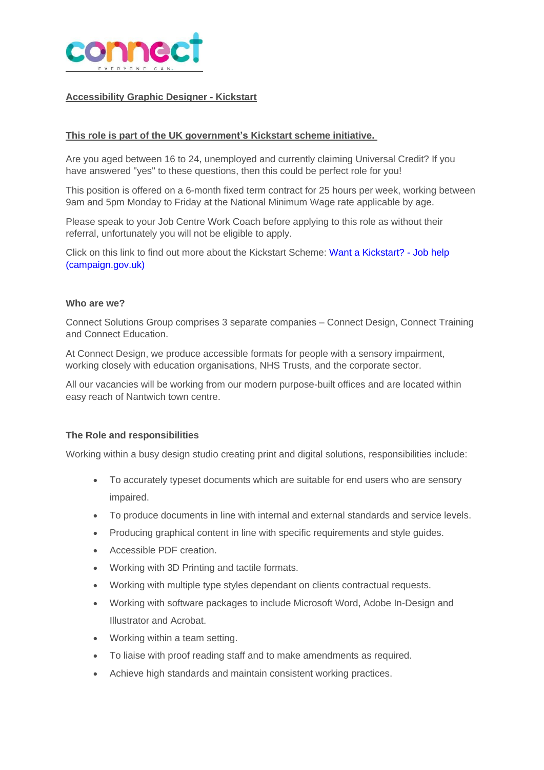

## **Accessibility Graphic Designer - Kickstart**

### **This role is part of the UK government's Kickstart scheme initiative.**

Are you aged between 16 to 24, unemployed and currently claiming Universal Credit? If you have answered "yes" to these questions, then this could be perfect role for you!

This position is offered on a 6-month fixed term contract for 25 hours per week, working between 9am and 5pm Monday to Friday at the National Minimum Wage rate applicable by age.

Please speak to your Job Centre Work Coach before applying to this role as without their referral, unfortunately you will not be eligible to apply.

Click on this link to find out more about the Kickstart Scheme: Want a [Kickstart?](https://jobhelp.campaign.gov.uk/kickstart/) - Job help [\(campaign.gov.uk\)](https://jobhelp.campaign.gov.uk/kickstart/)

#### **Who are we?**

Connect Solutions Group comprises 3 separate companies – Connect Design, Connect Training and Connect Education.

At Connect Design, we produce accessible formats for people with a sensory impairment, working closely with education organisations, NHS Trusts, and the corporate sector.

All our vacancies will be working from our modern purpose-built offices and are located within easy reach of Nantwich town centre.

### **The Role and responsibilities**

Working within a busy design studio creating print and digital solutions, responsibilities include:

- To accurately typeset documents which are suitable for end users who are sensory impaired.
- To produce documents in line with internal and external standards and service levels.
- Producing graphical content in line with specific requirements and style guides.
- Accessible PDF creation.
- Working with 3D Printing and tactile formats.
- Working with multiple type styles dependant on clients contractual requests.
- Working with software packages to include Microsoft Word, Adobe In-Design and Illustrator and Acrobat.
- Working within a team setting.
- To liaise with proof reading staff and to make amendments as required.
- Achieve high standards and maintain consistent working practices.